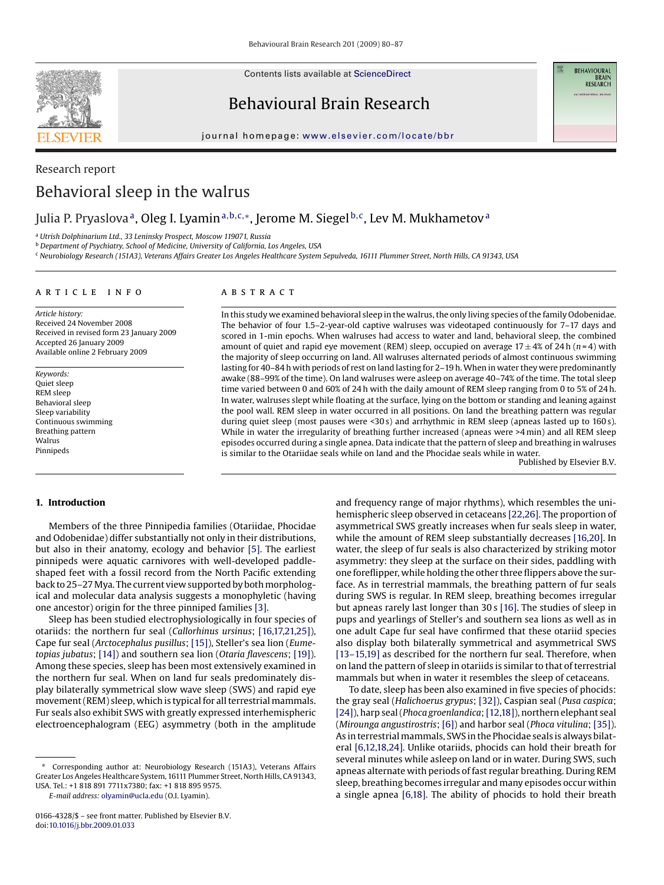

Contents lists available at [ScienceDirect](http://www.sciencedirect.com/science/journal/01664328)

Behavioural Brain Research

**BEHAVIOURAL BRAIN**<br>RESEARCH

#### journal homepage: [www.elsevier.com/locate/bbr](http://www.elsevier.com/locate/bbr)

# Research report Behavioral sleep in the walrus

# Julia P. Pryaslova<sup>a</sup>, Oleg I. Lyamin<sup>a, b, c,∗</sup>, Jerome M. Siegel<sup>b, c</sup>, Lev M. Mukhametov<sup>a</sup>

<sup>a</sup> *Utrish Dolphinarium Ltd., 33 Leninsky Prospect, Moscow 119071, Russia*

<sup>b</sup> *Department of Psychiatry, School of Medicine, University of California, Los Angeles, USA*

<sup>c</sup> *Neurobiology Research (151A3), Veterans Affairs Greater Los Angeles Healthcare System Sepulveda, 16111 Plummer Street, North Hills, CA 91343, USA*

#### article info

## **ABSTRACT**

*Article history:* Received 24 November 2008 Received in revised form 23 January 2009 Accepted 26 January 2009 Available online 2 February 2009

*Keywords:* Quiet sleep REM sleep Behavioral sleep Sleep variability Continuous swimming Breathing pattern Walrus Pinnipeds

In this study we examined behavioral sleep in the walrus, the only living species of the family Odobenidae. The behavior of four 1.5–2-year-old captive walruses was videotaped continuously for 7–17 days and scored in 1-min epochs. When walruses had access to water and land, behavioral sleep, the combined amount of quiet and rapid eye movement (REM) sleep, occupied on average  $17 \pm 4\%$  of 24 h ( $n = 4$ ) with the majority of sleep occurring on land. All walruses alternated periods of almost continuous swimming lasting for 40–84 h with periods of rest on land lasting for 2–19 h.When in water they were predominantly awake (88–99% of the time). On land walruses were asleep on average 40–74% of the time. The total sleep time varied between 0 and 60% of 24 h with the daily amount of REM sleep ranging from 0 to 5% of 24 h. In water, walruses slept while floating at the surface, lying on the bottom or standing and leaning against the pool wall. REM sleep in water occurred in all positions. On land the breathing pattern was regular during quiet sleep (most pauses were <30 s) and arrhythmic in REM sleep (apneas lasted up to 160 s). While in water the irregularity of breathing further increased (apneas were >4 min) and all REM sleep episodes occurred during a single apnea. Data indicate that the pattern of sleep and breathing in walruses is similar to the Otariidae seals while on land and the Phocidae seals while in water.

Published by Elsevier B.V.

## **1. Introduction**

Members of the three Pinnipedia families (Otariidae, Phocidae and Odobenidae) differ substantially not only in their distributions, but also in their anatomy, ecology and behavior [\[5\].](#page-7-0) The earliest pinnipeds were aquatic carnivores with well-developed paddleshaped feet with a fossil record from the North Pacific extending back to 25–27 Mya. The current view supported by both morphological and molecular data analysis suggests a monophyletic (having one ancestor) origin for the three pinniped families [\[3\].](#page-7-0)

Sleep has been studied electrophysiologically in four species of otariids: the northern fur seal (*Callorhinus ursinus*; [\[16,17,21,25\]\),](#page-7-0) Cape fur seal (*Arctocephalus pusillus*; [\[15\]\),](#page-7-0) Steller's sea lion (*Eumetopias jubatus*; [\[14\]\) a](#page-7-0)nd southern sea lion (*Otaria flavescens*; [\[19\]\).](#page-7-0) Among these species, sleep has been most extensively examined in the northern fur seal. When on land fur seals predominately display bilaterally symmetrical slow wave sleep (SWS) and rapid eye movement (REM) sleep, which is typical for all terrestrial mammals. Fur seals also exhibit SWS with greatly expressed interhemispheric electroencephalogram (EEG) asymmetry (both in the amplitude

*E-mail address:* [olyamin@ucla.edu](mailto:olyamin@ucla.edu) (O.I. Lyamin).

and frequency range of major rhythms), which resembles the unihemispheric sleep observed in cetaceans [\[22,26\]. T](#page-7-0)he proportion of asymmetrical SWS greatly increases when fur seals sleep in water, while the amount of REM sleep substantially decreases [\[16,20\]. I](#page-7-0)n water, the sleep of fur seals is also characterized by striking motor asymmetry: they sleep at the surface on their sides, paddling with one foreflipper, while holding the other three flippers above the surface. As in terrestrial mammals, the breathing pattern of fur seals during SWS is regular. In REM sleep, breathing becomes irregular but apneas rarely last longer than 30 s [\[16\]. T](#page-7-0)he studies of sleep in pups and yearlings of Steller's and southern sea lions as well as in one adult Cape fur seal have confirmed that these otariid species also display both bilaterally symmetrical and asymmetrical SWS [\[13–15,19\]](#page-7-0) as described for the northern fur seal. Therefore, when on land the pattern of sleep in otariids is similar to that of terrestrial mammals but when in water it resembles the sleep of cetaceans.

To date, sleep has been also examined in five species of phocids: the gray seal (*Halichoerus grypus*; [\[32\]\),](#page-7-0) Caspian seal (*Pusa caspica*; [\[24\]\),](#page-7-0) harp seal (*Phoca groenlandica*;[\[12,18\]\),](#page-7-0) northern elephant seal (*Mirounga angustirostris*; [\[6\]\)](#page-7-0) and harbor seal (*Phoca vitulina*; [\[35\]\).](#page-7-0) As in terrestrial mammals, SWS in the Phocidae seals is always bilateral [\[6,12,18,24\]. U](#page-7-0)nlike otariids, phocids can hold their breath for several minutes while asleep on land or in water. During SWS, such apneas alternate with periods of fast regular breathing. During REM sleep, breathing becomes irregular and many episodes occur within a single apnea [\[6,18\].](#page-7-0) The ability of phocids to hold their breath

Corresponding author at: Neurobiology Research (151A3), Veterans Affairs Greater Los Angeles Healthcare System, 16111 Plummer Street, North Hills, CA 91343, USA. Tel.: +1 818 891 7711x7380; fax: +1 818 895 9575.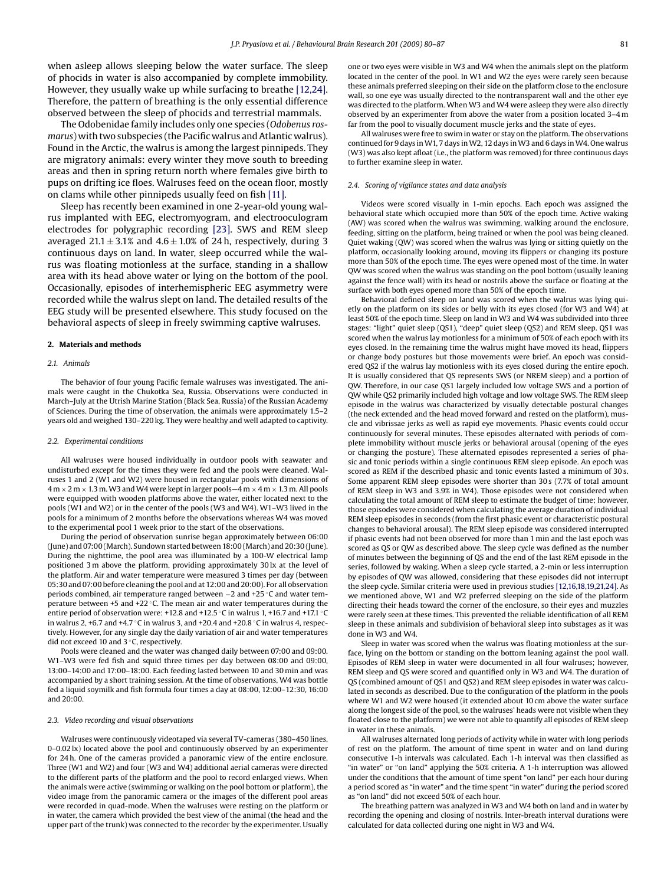when asleep allows sleeping below the water surface. The sleep of phocids in water is also accompanied by complete immobility. However, they usually wake up while surfacing to breathe [\[12,24\].](#page-7-0) Therefore, the pattern of breathing is the only essential difference observed between the sleep of phocids and terrestrial mammals.

The Odobenidae family includes only one species (*Odobenus rosmarus*) with two subspecies (the Pacific walrus and Atlantic walrus). Found in the Arctic, the walrus is among the largest pinnipeds. They are migratory animals: every winter they move south to breeding areas and then in spring return north where females give birth to pups on drifting ice floes. Walruses feed on the ocean floor, mostly on clams while other pinnipeds usually feed on fish [\[11\].](#page-7-0)

Sleep has recently been examined in one 2-year-old young walrus implanted with EEG, electromyogram, and electrooculogram electrodes for polygraphic recording [\[23\].](#page-7-0) SWS and REM sleep averaged 21.1  $\pm$  3.1% and 4.6  $\pm$  1.0% of 24 h, respectively, during 3 continuous days on land. In water, sleep occurred while the walrus was floating motionless at the surface, standing in a shallow area with its head above water or lying on the bottom of the pool. Occasionally, episodes of interhemispheric EEG asymmetry were recorded while the walrus slept on land. The detailed results of the EEG study will be presented elsewhere. This study focused on the behavioral aspects of sleep in freely swimming captive walruses.

#### **2. Materials and methods**

#### *2.1. Animals*

The behavior of four young Pacific female walruses was investigated. The animals were caught in the Chukotka Sea, Russia. Observations were conducted in March–July at the Utrish Marine Station (Black Sea, Russia) of the Russian Academy of Sciences. During the time of observation, the animals were approximately 1.5–2 years old and weighed 130–220 kg. They were healthy and well adapted to captivity.

#### *2.2. Experimental conditions*

All walruses were housed individually in outdoor pools with seawater and undisturbed except for the times they were fed and the pools were cleaned. Walruses 1 and 2 (W1 and W2) were housed in rectangular pools with dimensions of  $4$  m  $\times$  2 m  $\times$  1.3 m. W3 and W4 were kept in larger pools–4 m  $\times$  4 m  $\times$  1.3 m. All pools were equipped with wooden platforms above the water, either located next to the pools (W1 and W2) or in the center of the pools (W3 and W4). W1–W3 lived in the pools for a minimum of 2 months before the observations whereas W4 was moved to the experimental pool 1 week prior to the start of the observations.

During the period of observation sunrise began approximately between 06:00 (June) and 07:00 (March). Sundown started between 18:00 (March) and 20:30 (June). During the nighttime, the pool area was illuminated by a 100-W electrical lamp positioned 3 m above the platform, providing approximately 30 lx at the level of the platform. Air and water temperature were measured 3 times per day (between 05:30 and 07:00 before cleaning the pool and at 12:00 and 20:00). For all observation periods combined, air temperature ranged between −2 and +25 ◦C and water temperature between +5 and +22 ◦C. The mean air and water temperatures during the entire period of observation were: +12.8 and +12.5 ◦C in walrus 1, +16.7 and +17.1 ◦C in walrus 2, +6.7 and +4.7  $\circ$ C in walrus 3, and +20.4 and +20.8  $\circ$ C in walrus 4, respectively. However, for any single day the daily variation of air and water temperatures did not exceed 10 and 3 ◦C, respectively.

Pools were cleaned and the water was changed daily between 07:00 and 09:00. W1–W3 were fed fish and squid three times per day between 08:00 and 09:00, 13:00–14:00 and 17:00–18:00. Each feeding lasted between 10 and 30 min and was accompanied by a short training session. At the time of observations, W4 was bottle fed a liquid soymilk and fish formula four times a day at 08:00, 12:00–12:30, 16:00 and 20:00.

#### *2.3. Video recording and visual observations*

Walruses were continuously videotaped via several TV-cameras (380–450 lines, 0–0.02 lx) located above the pool and continuously observed by an experimenter for 24 h. One of the cameras provided a panoramic view of the entire enclosure. Three (W1 and W2) and four (W3 and W4) additional aerial cameras were directed to the different parts of the platform and the pool to record enlarged views. When the animals were active (swimming or walking on the pool bottom or platform), the video image from the panoramic camera or the images of the different pool areas were recorded in quad-mode. When the walruses were resting on the platform or in water, the camera which provided the best view of the animal (the head and the upper part of the trunk) was connected to the recorder by the experimenter. Usually one or two eyes were visible in W3 and W4 when the animals slept on the platform located in the center of the pool. In W1 and W2 the eyes were rarely seen because these animals preferred sleeping on their side on the platform close to the enclosure wall, so one eye was usually directed to the nontransparent wall and the other eye was directed to the platform. When W3 and W4 were asleep they were also directly observed by an experimenter from above the water from a position located 3–4 m far from the pool to visually document muscle jerks and the state of eyes.

All walruses were free to swim in water or stay on the platform. The observations continued for 9 days inW1, 7 days inW2, 12 days inW3 and 6 days inW4. One walrus (W3) was also kept afloat (i.e., the platform was removed) for three continuous days to further examine sleep in water.

#### *2.4. Scoring of vigilance states and data analysis*

Videos were scored visually in 1-min epochs. Each epoch was assigned the behavioral state which occupied more than 50% of the epoch time. Active waking (AW) was scored when the walrus was swimming, walking around the enclosure, feeding, sitting on the platform, being trained or when the pool was being cleaned. Quiet waking (QW) was scored when the walrus was lying or sitting quietly on the platform, occasionally looking around, moving its flippers or changing its posture more than 50% of the epoch time. The eyes were opened most of the time. In water QW was scored when the walrus was standing on the pool bottom (usually leaning against the fence wall) with its head or nostrils above the surface or floating at the surface with both eyes opened more than 50% of the epoch time.

Behavioral defined sleep on land was scored when the walrus was lying quietly on the platform on its sides or belly with its eyes closed (for W3 and W4) at least 50% of the epoch time. Sleep on land in W3 and W4 was subdivided into three stages: "light" quiet sleep (QS1), "deep" quiet sleep (QS2) and REM sleep. QS1 was scored when the walrus lay motionless for a minimum of 50% of each epoch with its eyes closed. In the remaining time the walrus might have moved its head, flippers or change body postures but those movements were brief. An epoch was considered QS2 if the walrus lay motionless with its eyes closed during the entire epoch. It is usually considered that QS represents SWS (or NREM sleep) and a portion of QW. Therefore, in our case QS1 largely included low voltage SWS and a portion of QW while QS2 primarily included high voltage and low voltage SWS. The REM sleep episode in the walrus was characterized by visually detectable postural changes (the neck extended and the head moved forward and rested on the platform), muscle and vibrissae jerks as well as rapid eye movements. Phasic events could occur continuously for several minutes. These episodes alternated with periods of complete immobility without muscle jerks or behavioral arousal (opening of the eyes or changing the posture). These alternated episodes represented a series of phasic and tonic periods within a single continuous REM sleep episode. An epoch was scored as REM if the described phasic and tonic events lasted a minimum of 30 s. Some apparent REM sleep episodes were shorter than 30 s (7.7% of total amount of REM sleep in W3 and 3.9% in W4). Those episodes were not considered when calculating the total amount of REM sleep to estimate the budget of time; however, those episodes were considered when calculating the average duration of individual REM sleep episodes in seconds (from the first phasic event or characteristic postural changes to behavioral arousal). The REM sleep episode was considered interrupted if phasic events had not been observed for more than 1 min and the last epoch was scored as QS or QW as described above. The sleep cycle was defined as the number of minutes between the beginning of QS and the end of the last REM episode in the series, followed by waking. When a sleep cycle started, a 2-min or less interruption by episodes of QW was allowed, considering that these episodes did not interrupt the sleep cycle. Similar criteria were used in previous studies [\[12,16,18,19,21,24\]. A](#page-7-0)s we mentioned above, W1 and W2 preferred sleeping on the side of the platform directing their heads toward the corner of the enclosure, so their eyes and muzzles were rarely seen at these times. This prevented the reliable identification of all REM sleep in these animals and subdivision of behavioral sleep into substages as it was done in W3 and W4.

Sleep in water was scored when the walrus was floating motionless at the surface, lying on the bottom or standing on the bottom leaning against the pool wall. Episodes of REM sleep in water were documented in all four walruses; however, REM sleep and QS were scored and quantified only in W3 and W4. The duration of QS (combined amount of QS1 and QS2) and REM sleep episodes in water was calculated in seconds as described. Due to the configuration of the platform in the pools where W1 and W2 were housed (it extended about 10 cm above the water surface along the longest side of the pool, so the walruses' heads were not visible when they floated close to the platform) we were not able to quantify all episodes of REM sleep in water in these animals.

All walruses alternated long periods of activity while in water with long periods of rest on the platform. The amount of time spent in water and on land during consecutive 1-h intervals was calculated. Each 1-h interval was then classified as "in water" or "on land" applying the 50% criteria. A 1-h interruption was allowed under the conditions that the amount of time spent "on land" per each hour during a period scored as "in water" and the time spent "in water" during the period scored as "on land" did not exceed 50% of each hour.

The breathing pattern was analyzed in W3 and W4 both on land and in water by recording the opening and closing of nostrils. Inter-breath interval durations were calculated for data collected during one night in W3 and W4.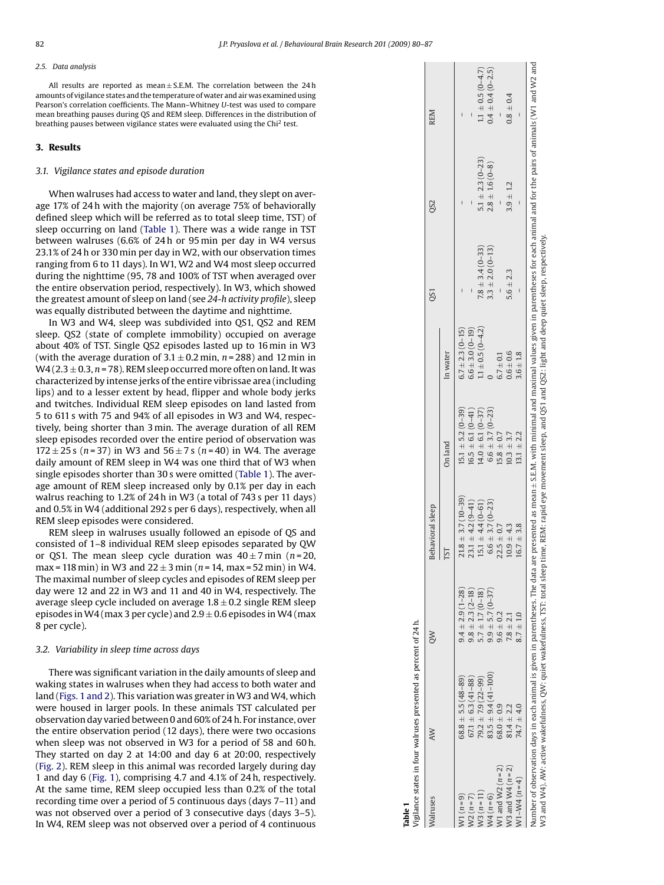#### *2.5. Data analysis*

All results are reported as mean $\pm$  S.E.M. The correlation between the 24 h amounts of vigilance states and the temperature of water and air was examined using Pearson's correlation coefficients. The Mann–Whitney *U*-test was used to compare mean breathing pauses during QS and REM sleep. Differences in the distribution of breathing pauses between vigilance states were evaluated using the Chi <sup>2</sup> test.

#### **3. Results**

#### *3.1. Vigilance states and episode duration*

When walruses had access to water and land, they slept on average 17% of 24 h with the majority (on average 75% of behaviorally defined sleep which will be referred as to total sleep time, TST) of sleep occurring on land (Table 1). There was a wide range in TST between walruses (6.6% of 24 h or 95 min per day in W4 versus 23.1% of 24 h or 330 min per day in W2, with our observation times ranging from 6 to 11 days). In W1, W2 and W4 most sleep occurred during the nighttime (95, 78 and 100% of TST when averaged over the entire observation period, respectively). In W3, which showed the greatest amount of sleep on land (see *24* -*h activity profile*), sleep was equally distributed between the daytime and nighttime.

In W3 and W4, sleep was subdivided into QS1, QS2 and REM sleep. QS2 (state of complete immobility) occupied on average about 40% of TST. Single QS2 episodes lasted up to 16 min in W3 (with the average duration of  $3.1 \pm 0.2$  min,  $n = 288$ ) and 12 min in W4 (2.3 ± 0.3, *n* = 78). REM sleep occurred more often on land. It was characterized by intense jerks of the entire vibrissae area (including lips) and to a lesser extent by head, flipper and whole body jerks and twitches. Individual REM sleep episodes on land lasted from 5 to 611 s with 75 and 94% of all episodes in W3 and W4, respectively, being shorter than 3 min. The average duration of all REM sleep episodes recorded over the entire period of observation was 172 ± 25 s ( *n* = 37) in W3 and 56 ± 7s ( *n* = 40) in W4. The average daily amount of REM sleep in W4 was one third that of W3 when single episodes shorter than 30 s were omitted (Table 1). The average amount of REM sleep increased only by 0.1% per day in each walrus reaching to 1.2% of 24 h in W3 (a total of 743 s per 11 days) and 0.5% in W4 (additional 292 s per 6 days), respectively, when all REM sleep episodes were considered.

REM sleep in walruses usually followed an episode of QS and consisted of 1–8 individual REM sleep episodes separated by QW or QS1. The mean sleep cycle duration was  $40\pm7 \,\text{min}$  ( $n=20$ , max = 118 min) in W3 and 22 ± 3 min ( *n* = 14, max = 52 min) in W4. The maximal number of sleep cycles and episodes of REM sleep per day were 12 and 22 in W3 and 11 and 40 in W4, respectively. The average sleep cycle included on average  $1.8\pm0.2$  single REM sleep episodes in W4 (max 3 per cycle) and 2.9  $\pm$  0.6 episodes in W4 (max  $\,$ 8 per cycle).

#### *3.2. Variability in sleep time across days*

There was significant variation in the daily amounts of sleep and waking states in walruses when they had access to both water and land [\(Figs. 1 and 2\).](#page-3-0) This variation was greater in W3 and W4, which were housed in larger pools. In these animals TST calculated per observation day varied between 0 and 60% of 24 h. For instance, over the entire observation period (12 days), there were two occasions when sleep was not observed in W3 for a period of 58 and 60 h. They started on day 2 at 14:00 and day 6 at 20:00, respectively ([Fig. 2\).](#page-3-0) REM sleep in this animal was recorded largely during day 1 and day 6 ([Fig. 1\),](#page-3-0) comprising 4.7 and 4.1% of 24 h, respectively. At the same time, REM sleep occupied less than 0.2% of the total recording time over a period of 5 continuous days (days 7–11) and was not observed over a period of 3 consecutive days (days 3–5). In W4, REM sleep was not observed over a period of 4 continuous

|                        |                         |                         |                        | OS1                    | 082                    | <b>REM</b>             |
|------------------------|-------------------------|-------------------------|------------------------|------------------------|------------------------|------------------------|
|                        | ГSТ                     | On land                 | In water               |                        |                        |                        |
| $9.4 \pm 2.9(1 - 28)$  | $21.8 \pm 3.7(10-39)$   | $15.1 \pm 5.2(0-39)$    | $6.7 \pm 2.3 (0 - 15)$ |                        |                        |                        |
| $9.8 \pm 2.3 (2 - 18)$ | $23.1 \pm 4.2 (9 - 41)$ | $16.5 \pm 6.1(0-41)$    | $6.6 \pm 3.0(0 - 19)$  |                        |                        |                        |
|                        | $15.1 \pm 4.4 (0 - 61)$ | $14.0 \pm 6.1 (0 - 37)$ | $1.1 \pm 0.5(0-4.2)$   | $7.8 \pm 3.4(0-33)$    | $5.1 \pm 2.3 (0 - 23)$ | $1.1 \pm 0.5(0-4.7)$   |
| $9.9 \pm 5.7(0 - 37)$  | $6.6 \pm 3.7(0-23)$     | $6.6 \pm 3.7(0-23)$     |                        | $3.3 \pm 2.0 (0 - 13)$ | $2.8 \pm 1.6(0-8)$     | $0.4 \pm 0.4(0 - 2.5)$ |
| $9.6 \pm 0.2$          | $22.5 \pm 0.7$          | $15.8 \pm 0.7$          | $6.7 \pm 0.1$          |                        |                        |                        |
| $7.8 \pm 2.1$          | $10.9 \pm 4.3$          | $10.3 + 3.7$            | $0.6 \pm 0.6$          | $5.6 \pm 2.3$          | $3.9 \pm 1.2$          | $0.8 \pm 0.4$          |
| $8.7 \pm 1.0$          | $16.7 \pm 3.8$          | $13.1 \pm 2.2$          | $3.6 \pm 1.8$          |                        |                        |                        |
| $5.7 \pm 1.7 (0 - 18)$ |                         |                         |                        |                        |                        |                        |

**Table 1**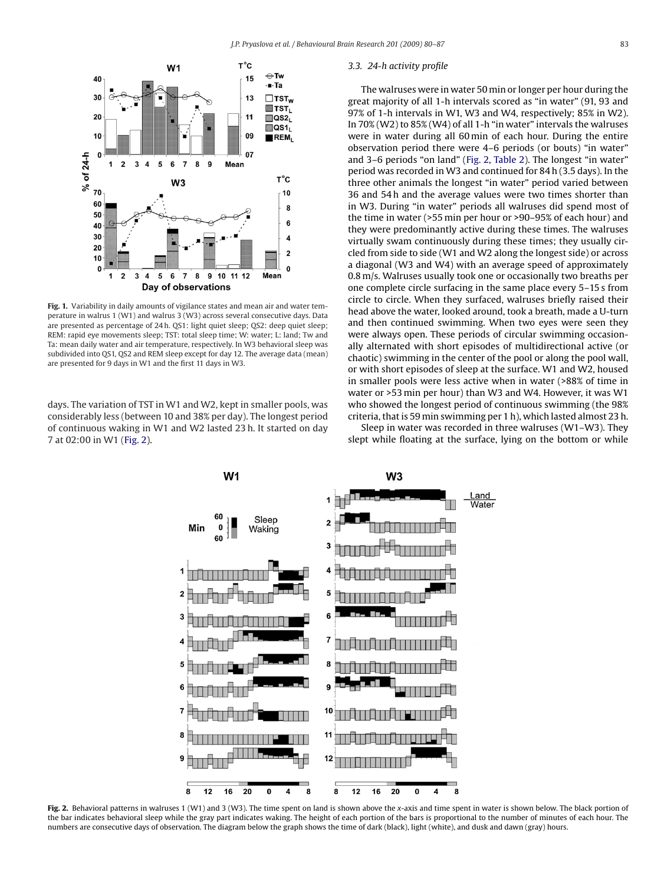<span id="page-3-0"></span>

**Fig. 1.** Variability in daily amounts of vigilance states and mean air and water temperature in walrus 1 (W1) and walrus 3 (W3) across several consecutive days. Data are presented as percentage of 24 h. QS1: light quiet sleep; QS2: deep quiet sleep; REM: rapid eye movements sleep; TST: total sleep time; W: water; L: land; Tw and Ta: mean daily water and air temperature, respectively. In W3 behavioral sleep was subdivided into QS1, QS2 and REM sleep except for day 12. The average data (mean) are presented for 9 days in W1 and the first 11 days in W3.

days. The variation of TST in W1 and W2, kept in smaller pools, was considerably less (between 10 and 38% per day). The longest period of continuous waking in W1 and W2 lasted 23 h. It started on day 7 at 02:00 in W1 (Fig. 2).

#### *3.3. 24-h activity profile*

The walruses were in water 50 min or longer per hour during the great majority of all 1-h intervals scored as "in water" (91, 93 and 97% of 1-h intervals in W1, W3 and W4, respectively; 85% in W2). In 70% (W2) to 85% (W4) of all 1-h "in water" intervals the walruses were in water during all 60 min of each hour. During the entire observation period there were 4–6 periods (or bouts) "in water" and 3–6 periods "on land" (Fig. 2, [Table 2\).](#page-4-0) The longest "in water" period was recorded in W3 and continued for 84 h (3.5 days). In the three other animals the longest "in water" period varied between 36 and 54 h and the average values were two times shorter than in W3. During "in water" periods all walruses did spend most of the time in water (>55 min per hour or >90–95% of each hour) and they were predominantly active during these times. The walruses virtually swam continuously during these times; they usually circled from side to side (W1 and W2 along the longest side) or across a diagonal (W3 and W4) with an average speed of approximately 0.8 m/s. Walruses usually took one or occasionally two breaths per one complete circle surfacing in the same place every 5–15 s from circle to circle. When they surfaced, walruses briefly raised their head above the water, looked around, took a breath, made a U-turn and then continued swimming. When two eyes were seen they were always open. These periods of circular swimming occasionally alternated with short episodes of multidirectional active (or chaotic) swimming in the center of the pool or along the pool wall, or with short episodes of sleep at the surface. W1 and W2, housed in smaller pools were less active when in water (>88% of time in water or >53 min per hour) than W3 and W4. However, it was W1 who showed the longest period of continuous swimming (the 98% criteria, that is 59 min swimming per 1 h), which lasted almost 23 h.

Sleep in water was recorded in three walruses (W1–W3). They slept while floating at the surface, lying on the bottom or while



**Fig. 2.** Behavioral patterns in walruses 1 (W1) and 3 (W3). The time spent on land is shown above the *x*-axis and time spent in water is shown below. The black portion of the bar indicates behavioral sleep while the gray part indicates waking. The height of each portion of the bars is proportional to the number of minutes of each hour. The numbers are consecutive days of observation. The diagram below the graph shows the time of dark (black), light (white), and dusk and dawn (gray) hours.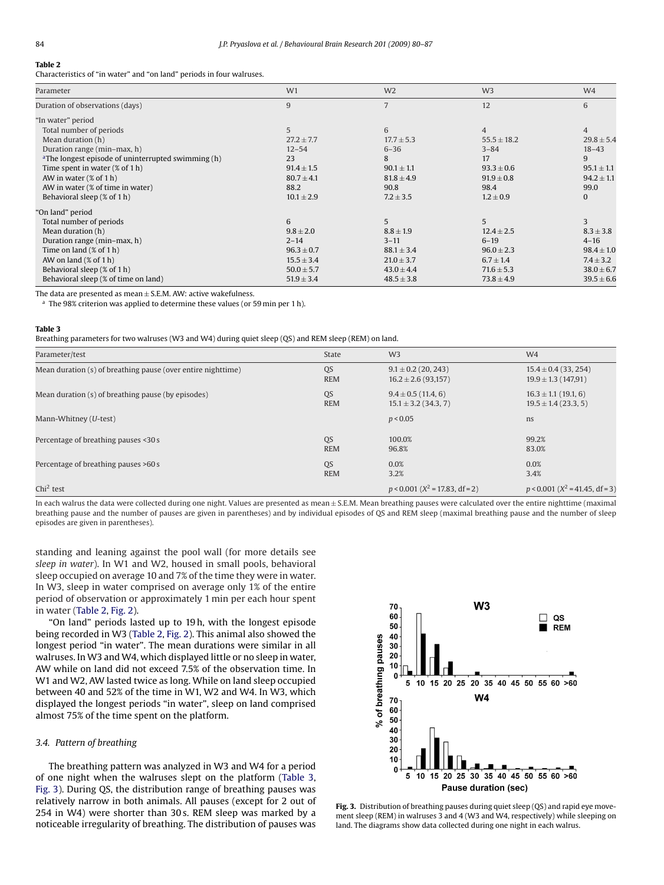## <span id="page-4-0"></span>**Table 2**

Characteristics of "in water" and "on land" periods in four walruses.

| Parameter                                                      | W1             | W <sub>2</sub> | W <sub>3</sub>  | W4             |
|----------------------------------------------------------------|----------------|----------------|-----------------|----------------|
| Duration of observations (days)                                | 9              | 7              | 12              | 6              |
| "In water" period                                              |                |                |                 |                |
| Total number of periods                                        | 5              | 6              | $\overline{4}$  | $\overline{4}$ |
| Mean duration (h)                                              | $27.2 \pm 7.7$ | $17.7 \pm 5.3$ | $55.5 \pm 18.2$ | $29.8 \pm 5.4$ |
| Duration range (min-max, h)                                    | $12 - 54$      | $6 - 36$       | $3 - 84$        | $18 - 43$      |
| <sup>a</sup> The longest episode of uninterrupted swimming (h) | 23             | 8              | 17              | 9              |
| Time spent in water $(\%$ of 1 h)                              | $91.4 \pm 1.5$ | $90.1 \pm 1.1$ | $93.3 \pm 0.6$  | $95.1 \pm 1.1$ |
| AW in water $(\%$ of 1 h)                                      | $80.7 \pm 4.1$ | $81.8 \pm 4.9$ | $91.9 \pm 0.8$  | $94.2 \pm 1.1$ |
| AW in water (% of time in water)                               | 88.2           | 90.8           | 98.4            | 99.0           |
| Behavioral sleep (% of 1 h)                                    | $10.1 \pm 2.9$ | $7.2 \pm 3.5$  | $1.2 \pm 0.9$   | $\mathbf{0}$   |
| "On land" period                                               |                |                |                 |                |
| Total number of periods                                        | 6              | 5              | 5               | $\mathbf{3}$   |
| Mean duration (h)                                              | $9.8 \pm 2.0$  | $8.8 \pm 1.9$  | $12.4 \pm 2.5$  | $8.3 \pm 3.8$  |
| Duration range (min-max, h)                                    | $2 - 14$       | $3 - 11$       | $6 - 19$        | $4 - 16$       |
| Time on land $(\%$ of 1 h)                                     | $96.3 \pm 0.7$ | $88.1 \pm 3.4$ | $96.0 \pm 2.3$  | $98.4 \pm 1.0$ |
| AW on land $(\%$ of 1 h)                                       | $15.5 \pm 3.4$ | $21.0 \pm 3.7$ | $6.7 \pm 1.4$   | $7.4 \pm 3.2$  |
| Behavioral sleep (% of 1 h)                                    | $50.0 \pm 5.7$ | $43.0 \pm 4.4$ | $71.6 \pm 5.3$  | $38.0 \pm 6.7$ |
| Behavioral sleep (% of time on land)                           | $51.9 \pm 3.4$ | $48.5 \pm 3.8$ | $73.8 \pm 4.9$  | $39.5 \pm 6.6$ |

The data are presented as mean  $\pm$  S.E.M. AW: active wakefulness.

 $a$  The 98% criterion was applied to determine these values (or 59 min per 1 h).

#### **Table 3**

Breathing parameters for two walruses (W3 and W4) during quiet sleep (QS) and REM sleep (REM) on land.

| Parameter/test                                               | State      | W <sub>3</sub>                        | W <sub>4</sub>                        |
|--------------------------------------------------------------|------------|---------------------------------------|---------------------------------------|
| Mean duration (s) of breathing pause (over entire nighttime) | QS         | $9.1 \pm 0.2$ (20, 243)               | $15.4 \pm 0.4$ (33, 254)              |
|                                                              | <b>REM</b> | $16.2 \pm 2.6$ (93,157)               | $19.9 \pm 1.3$ (147,91)               |
| Mean duration (s) of breathing pause (by episodes)           | QS         | $9.4 \pm 0.5$ (11.4, 6)               | $16.3 \pm 1.1$ (19.1, 6)              |
|                                                              | <b>REM</b> | $15.1 \pm 3.2$ (34.3, 7)              | $19.5 \pm 1.4$ (23.3, 5)              |
| Mann-Whitney (U-test)                                        |            | p < 0.05                              | ns                                    |
| Percentage of breathing pauses <30 s                         | QS         | 100.0%                                | 99.2%                                 |
|                                                              | <b>REM</b> | 96.8%                                 | 83.0%                                 |
| Percentage of breathing pauses >60 s                         | QS         | 0.0%                                  | 0.0%                                  |
|                                                              | <b>REM</b> | 3.2%                                  | 3.4%                                  |
| $Chi2$ test                                                  |            | $p < 0.001$ ( $X^2 = 17.83$ , df = 2) | $p < 0.001$ ( $X^2 = 41.45$ , df = 3) |

In each walrus the data were collected during one night. Values are presented as mean ± S.E.M. Mean breathing pauses were calculated over the entire nighttime (maximal breathing pause and the number of pauses are given in parentheses) and by individual episodes of QS and REM sleep (maximal breathing pause and the number of sleep episodes are given in parentheses).

standing and leaning against the pool wall (for more details see *sleep in water*). In W1 and W2, housed in small pools, behavioral sleep occupied on average 10 and 7% of the time they were in water. In W3, sleep in water comprised on average only 1% of the entire period of observation or approximately 1 min per each hour spent in water (Table 2, [Fig. 2\).](#page-3-0)

"On land" periods lasted up to 19 h, with the longest episode being recorded in W3 (Table 2, [Fig. 2\).](#page-3-0) This animal also showed the longest period "in water". The mean durations were similar in all walruses. In W3 and W4, which displayed little or no sleep in water, AW while on land did not exceed 7.5% of the observation time. In W1 and W2, AW lasted twice as long. While on land sleep occupied between 40 and 52% of the time in W1, W2 and W4. In W3, which displayed the longest periods "in water", sleep on land comprised almost 75% of the time spent on the platform.

#### *3.4. Pattern of breathing*

The breathing pattern was analyzed in W3 and W4 for a period of one night when the walruses slept on the platform (Table 3, Fig. 3). During QS, the distribution range of breathing pauses was relatively narrow in both animals. All pauses (except for 2 out of 254 in W4) were shorter than 30 s. REM sleep was marked by a noticeable irregularity of breathing. The distribution of pauses was



**Fig. 3.** Distribution of breathing pauses during quiet sleep (QS) and rapid eye movement sleep (REM) in walruses 3 and 4 (W3 and W4, respectively) while sleeping on land. The diagrams show data collected during one night in each walrus.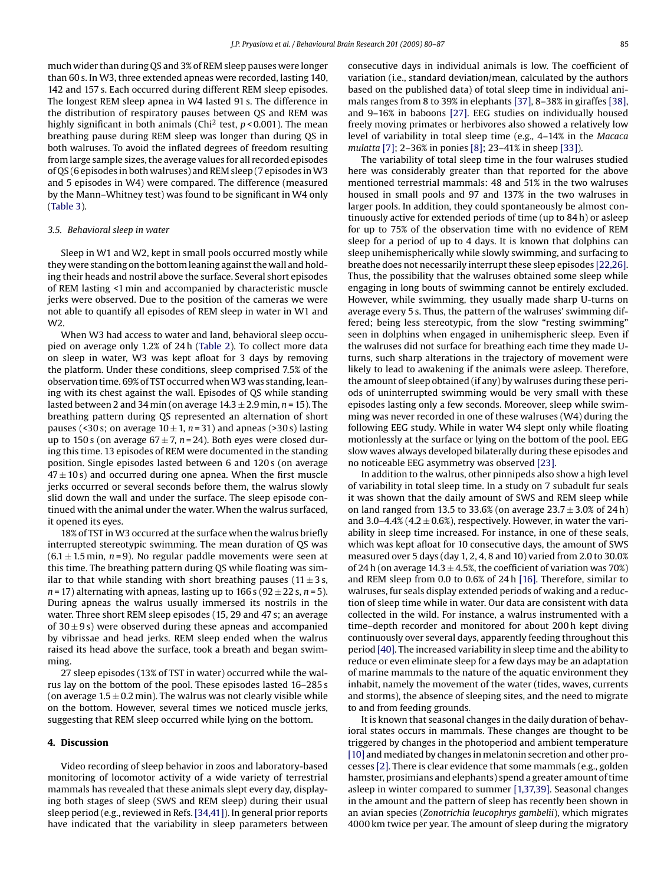much wider than during QS and 3% of REM sleep pauses were longer than 60 s. In W3, three extended apneas were recorded, lasting 140, 142 and 157 s. Each occurred during different REM sleep episodes. The longest REM sleep apnea in W4 lasted 91 s. The difference in the distribution of respiratory pauses between QS and REM was highly significant in both animals (Chi<sup>2</sup> test,  $p < 0.001$ ). The mean breathing pause during REM sleep was longer than during QS in both walruses. To avoid the inflated degrees of freedom resulting from large sample sizes, the average values for all recorded episodes of QS (6 episodes in both walruses) and REM sleep (7 episodes inW3 and 5 episodes in W4) were compared. The difference (measured by the Mann–Whitney test) was found to be significant in W4 only ([Table 3\).](#page-4-0)

#### *3.5. Behavioral sleep in water*

Sleep in W1 and W2, kept in small pools occurred mostly while they were standing on the bottom leaning against the wall and holding their heads and nostril above the surface. Several short episodes of REM lasting <1 min and accompanied by characteristic muscle jerks were observed. Due to the position of the cameras we were not able to quantify all episodes of REM sleep in water in W1 and W2.

When W3 had access to water and land, behavioral sleep occupied on average only 1.2% of 24 h ([Table 2\).](#page-4-0) To collect more data on sleep in water, W3 was kept afloat for 3 days by removing the platform. Under these conditions, sleep comprised 7.5% of the observation time. 69% of TST occurred when W3 was standing, leaning with its chest against the wall. Episodes of QS while standing lasted between 2 and 34 min (on average 14.3 ± 2.9 min, *n* = 15). The breathing pattern during QS represented an alternation of short pauses (<30 s; on average  $10 \pm 1$ ,  $n = 31$ ) and apneas (>30 s) lasting up to 150 s (on average  $67 \pm 7$ ,  $n = 24$ ). Both eyes were closed during this time. 13 episodes of REM were documented in the standing position. Single episodes lasted between 6 and 120 s (on average  $47 \pm 10$  s) and occurred during one apnea. When the first muscle jerks occurred or several seconds before them, the walrus slowly slid down the wall and under the surface. The sleep episode continued with the animal under the water. When the walrus surfaced, it opened its eyes.

18% of TST in W3 occurred at the surface when the walrus briefly interrupted stereotypic swimming. The mean duration of QS was  $(6.1 \pm 1.5 \text{ min}, n=9)$ . No regular paddle movements were seen at this time. The breathing pattern during QS while floating was similar to that while standing with short breathing pauses (11 $\pm$ 3s,  $n = 17$ ) alternating with apneas, lasting up to  $166 s (92 \pm 22 s, n = 5)$ . During apneas the walrus usually immersed its nostrils in the water. Three short REM sleep episodes (15, 29 and 47 s; an average of  $30 \pm 9$  s) were observed during these apneas and accompanied by vibrissae and head jerks. REM sleep ended when the walrus raised its head above the surface, took a breath and began swimming.

27 sleep episodes (13% of TST in water) occurred while the walrus lay on the bottom of the pool. These episodes lasted 16–285 s (on average  $1.5 \pm 0.2$  min). The walrus was not clearly visible while on the bottom. However, several times we noticed muscle jerks, suggesting that REM sleep occurred while lying on the bottom.

## **4. Discussion**

Video recording of sleep behavior in zoos and laboratory-based monitoring of locomotor activity of a wide variety of terrestrial mammals has revealed that these animals slept every day, displaying both stages of sleep (SWS and REM sleep) during their usual sleep period (e.g., reviewed in Refs. [\[34,41\]\).](#page-7-0) In general prior reports have indicated that the variability in sleep parameters between consecutive days in individual animals is low. The coefficient of variation (i.e., standard deviation/mean, calculated by the authors based on the published data) of total sleep time in individual animals ranges from 8 to 39% in elephants [\[37\], 8](#page-7-0)–38% in giraffes [\[38\],](#page-7-0) and 9–16% in baboons [\[27\].](#page-7-0) EEG studies on individually housed freely moving primates or herbivores also showed a relatively low level of variability in total sleep time (e.g., 4–14% in the *Macaca mulatta* [\[7\]; 2](#page-7-0)–36% in ponies [\[8\];](#page-7-0) 23–41% in sheep [\[33\]\).](#page-7-0)

The variability of total sleep time in the four walruses studied here was considerably greater than that reported for the above mentioned terrestrial mammals: 48 and 51% in the two walruses housed in small pools and 97 and 137% in the two walruses in larger pools. In addition, they could spontaneously be almost continuously active for extended periods of time (up to 84 h) or asleep for up to 75% of the observation time with no evidence of REM sleep for a period of up to 4 days. It is known that dolphins can sleep unihemispherically while slowly swimming, and surfacing to breathe does not necessarily interrupt these sleep episodes [\[22,26\].](#page-7-0) Thus, the possibility that the walruses obtained some sleep while engaging in long bouts of swimming cannot be entirely excluded. However, while swimming, they usually made sharp U-turns on average every 5 s. Thus, the pattern of the walruses' swimming differed; being less stereotypic, from the slow "resting swimming" seen in dolphins when engaged in unihemispheric sleep. Even if the walruses did not surface for breathing each time they made Uturns, such sharp alterations in the trajectory of movement were likely to lead to awakening if the animals were asleep. Therefore, the amount of sleep obtained (if any) by walruses during these periods of uninterrupted swimming would be very small with these episodes lasting only a few seconds. Moreover, sleep while swimming was never recorded in one of these walruses (W4) during the following EEG study. While in water W4 slept only while floating motionlessly at the surface or lying on the bottom of the pool. EEG slow waves always developed bilaterally during these episodes and no noticeable EEG asymmetry was observed [\[23\].](#page-7-0)

In addition to the walrus, other pinnipeds also show a high level of variability in total sleep time. In a study on 7 subadult fur seals it was shown that the daily amount of SWS and REM sleep while on land ranged from 13.5 to 33.6% (on average  $23.7 \pm 3.0$ % of 24 h) and 3.0–4.4% (4.2  $\pm$  0.6%), respectively. However, in water the variability in sleep time increased. For instance, in one of these seals, which was kept afloat for 10 consecutive days, the amount of SWS measured over 5 days (day 1, 2, 4, 8 and 10) varied from 2.0 to 30.0% of 24 h (on average  $14.3 \pm 4.5$ %, the coefficient of variation was 70%) and REM sleep from 0.0 to 0.6% of 24 h [\[16\]. T](#page-7-0)herefore, similar to walruses, fur seals display extended periods of waking and a reduction of sleep time while in water. Our data are consistent with data collected in the wild. For instance, a walrus instrumented with a time–depth recorder and monitored for about 200 h kept diving continuously over several days, apparently feeding throughout this period [\[40\]. T](#page-7-0)he increased variability in sleep time and the ability to reduce or even eliminate sleep for a few days may be an adaptation of marine mammals to the nature of the aquatic environment they inhabit, namely the movement of the water (tides, waves, currents and storms), the absence of sleeping sites, and the need to migrate to and from feeding grounds.

It is known that seasonal changes in the daily duration of behavioral states occurs in mammals. These changes are thought to be triggered by changes in the photoperiod and ambient temperature [\[10\]](#page-7-0) and mediated by changes in melatonin secretion and other processes [\[2\]. T](#page-7-0)here is clear evidence that some mammals (e.g., golden hamster, prosimians and elephants) spend a greater amount of time asleep in winter compared to summer [\[1,37,39\]. S](#page-7-0)easonal changes in the amount and the pattern of sleep has recently been shown in an avian species (*Zonotrichia leucophrys gambelii*), which migrates 4000 km twice per year. The amount of sleep during the migratory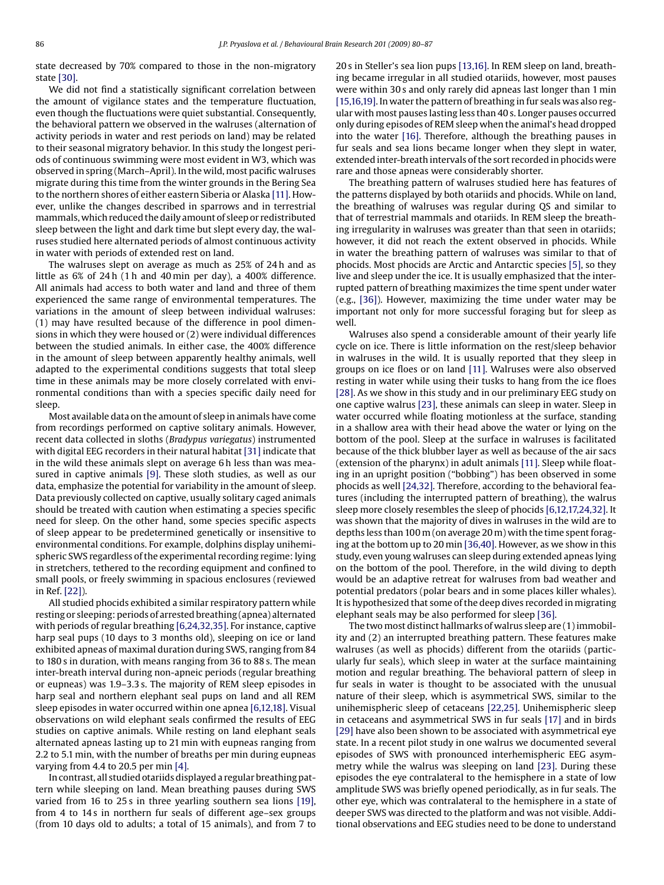state decreased by 70% compared to those in the non-migratory state [\[30\].](#page-7-0)

We did not find a statistically significant correlation between the amount of vigilance states and the temperature fluctuation, even though the fluctuations were quiet substantial. Consequently, the behavioral pattern we observed in the walruses (alternation of activity periods in water and rest periods on land) may be related to their seasonal migratory behavior. In this study the longest periods of continuous swimming were most evident in W3, which was observed in spring (March–April). In the wild, most pacific walruses migrate during this time from the winter grounds in the Bering Sea to the northern shores of either eastern Siberia or Alaska [\[11\]. H](#page-7-0)owever, unlike the changes described in sparrows and in terrestrial mammals, which reduced the daily amount of sleep or redistributed sleep between the light and dark time but slept every day, the walruses studied here alternated periods of almost continuous activity in water with periods of extended rest on land.

The walruses slept on average as much as 25% of 24 h and as little as 6% of 24 h (1 h and 40 min per day), a 400% difference. All animals had access to both water and land and three of them experienced the same range of environmental temperatures. The variations in the amount of sleep between individual walruses: (1) may have resulted because of the difference in pool dimensions in which they were housed or (2) were individual differences between the studied animals. In either case, the 400% difference in the amount of sleep between apparently healthy animals, well adapted to the experimental conditions suggests that total sleep time in these animals may be more closely correlated with environmental conditions than with a species specific daily need for sleep.

Most available data on the amount of sleep in animals have come from recordings performed on captive solitary animals. However, recent data collected in sloths (*Bradypus variegatus*) instrumented with digital EEG recorders in their natural habitat [\[31\]](#page-7-0) indicate that in the wild these animals slept on average 6 h less than was measured in captive animals [\[9\].](#page-7-0) These sloth studies, as well as our data, emphasize the potential for variability in the amount of sleep. Data previously collected on captive, usually solitary caged animals should be treated with caution when estimating a species specific need for sleep. On the other hand, some species specific aspects of sleep appear to be predetermined genetically or insensitive to environmental conditions. For example, dolphins display unihemispheric SWS regardless of the experimental recording regime: lying in stretchers, tethered to the recording equipment and confined to small pools, or freely swimming in spacious enclosures (reviewed in Ref. [\[22\]\).](#page-7-0)

All studied phocids exhibited a similar respiratory pattern while resting or sleeping: periods of arrested breathing (apnea) alternated with periods of regular breathing [\[6,24,32,35\]. F](#page-7-0)or instance, captive harp seal pups (10 days to 3 months old), sleeping on ice or land exhibited apneas of maximal duration during SWS, ranging from 84 to 180 s in duration, with means ranging from 36 to 88 s. The mean inter-breath interval during non-apneic periods (regular breathing or eupneas) was 1.9–3.3 s. The majority of REM sleep episodes in harp seal and northern elephant seal pups on land and all REM sleep episodes in water occurred within one apnea [\[6,12,18\]. V](#page-7-0)isual observations on wild elephant seals confirmed the results of EEG studies on captive animals. While resting on land elephant seals alternated apneas lasting up to 21 min with eupneas ranging from 2.2 to 5.1 min, with the number of breaths per min during eupneas varying from 4.4 to 20.5 per min [\[4\].](#page-7-0)

In contrast, all studied otariids displayed a regular breathing pattern while sleeping on land. Mean breathing pauses during SWS varied from 16 to 25 s in three yearling southern sea lions [\[19\],](#page-7-0) from 4 to 14s in northern fur seals of different age–sex groups (from 10 days old to adults; a total of 15 animals), and from 7 to 20 s in Steller's sea lion pups [\[13,16\]. I](#page-7-0)n REM sleep on land, breathing became irregular in all studied otariids, however, most pauses were within 30 s and only rarely did apneas last longer than 1 min [\[15,16,19\]. I](#page-7-0)n water the pattern of breathing in fur seals was also regular with most pauses lasting less than 40 s. Longer pauses occurred only during episodes of REM sleep when the animal's head dropped into the water [\[16\].](#page-7-0) Therefore, although the breathing pauses in fur seals and sea lions became longer when they slept in water, extended inter-breath intervals of the sort recorded in phocids were rare and those apneas were considerably shorter.

The breathing pattern of walruses studied here has features of the patterns displayed by both otariids and phocids. While on land, the breathing of walruses was regular during QS and similar to that of terrestrial mammals and otariids. In REM sleep the breathing irregularity in walruses was greater than that seen in otariids; however, it did not reach the extent observed in phocids. While in water the breathing pattern of walruses was similar to that of phocids. Most phocids are Arctic and Antarctic species [\[5\], s](#page-7-0)o they live and sleep under the ice. It is usually emphasized that the interrupted pattern of breathing maximizes the time spent under water (e.g., [\[36\]\).](#page-7-0) However, maximizing the time under water may be important not only for more successful foraging but for sleep as well.

Walruses also spend a considerable amount of their yearly life cycle on ice. There is little information on the rest/sleep behavior in walruses in the wild. It is usually reported that they sleep in groups on ice floes or on land [\[11\].](#page-7-0) Walruses were also observed resting in water while using their tusks to hang from the ice floes [\[28\]. A](#page-7-0)s we show in this study and in our preliminary EEG study on one captive walrus [\[23\], t](#page-7-0)hese animals can sleep in water. Sleep in water occurred while floating motionless at the surface, standing in a shallow area with their head above the water or lying on the bottom of the pool. Sleep at the surface in walruses is facilitated because of the thick blubber layer as well as because of the air sacs (extension of the pharynx) in adult animals [\[11\]. S](#page-7-0)leep while floating in an upright position ("bobbing") has been observed in some phocids as well [\[24,32\]. T](#page-7-0)herefore, according to the behavioral features (including the interrupted pattern of breathing), the walrus sleep more closely resembles the sleep of phocids [\[6,12,17,24,32\]. I](#page-7-0)t was shown that the majority of dives in walruses in the wild are to depths less than 100 m (on average 20 m) with the time spent foraging at the bottom up to 20 min [\[36,40\]. H](#page-7-0)owever, as we show in this study, even young walruses can sleep during extended apneas lying on the bottom of the pool. Therefore, in the wild diving to depth would be an adaptive retreat for walruses from bad weather and potential predators (polar bears and in some places killer whales). It is hypothesized that some of the deep dives recorded in migrating elephant seals may be also performed for sleep [\[36\].](#page-7-0)

The two most distinct hallmarks of walrus sleep are (1) immobility and (2) an interrupted breathing pattern. These features make walruses (as well as phocids) different from the otariids (particularly fur seals), which sleep in water at the surface maintaining motion and regular breathing. The behavioral pattern of sleep in fur seals in water is thought to be associated with the unusual nature of their sleep, which is asymmetrical SWS, similar to the unihemispheric sleep of cetaceans [\[22,25\]. U](#page-7-0)nihemispheric sleep in cetaceans and asymmetrical SWS in fur seals [\[17\]](#page-7-0) and in birds [\[29\]](#page-7-0) have also been shown to be associated with asymmetrical eye state. In a recent pilot study in one walrus we documented several episodes of SWS with pronounced interhemispheric EEG asymmetry while the walrus was sleeping on land [\[23\]. D](#page-7-0)uring these episodes the eye contralateral to the hemisphere in a state of low amplitude SWS was briefly opened periodically, as in fur seals. The other eye, which was contralateral to the hemisphere in a state of deeper SWS was directed to the platform and was not visible. Additional observations and EEG studies need to be done to understand